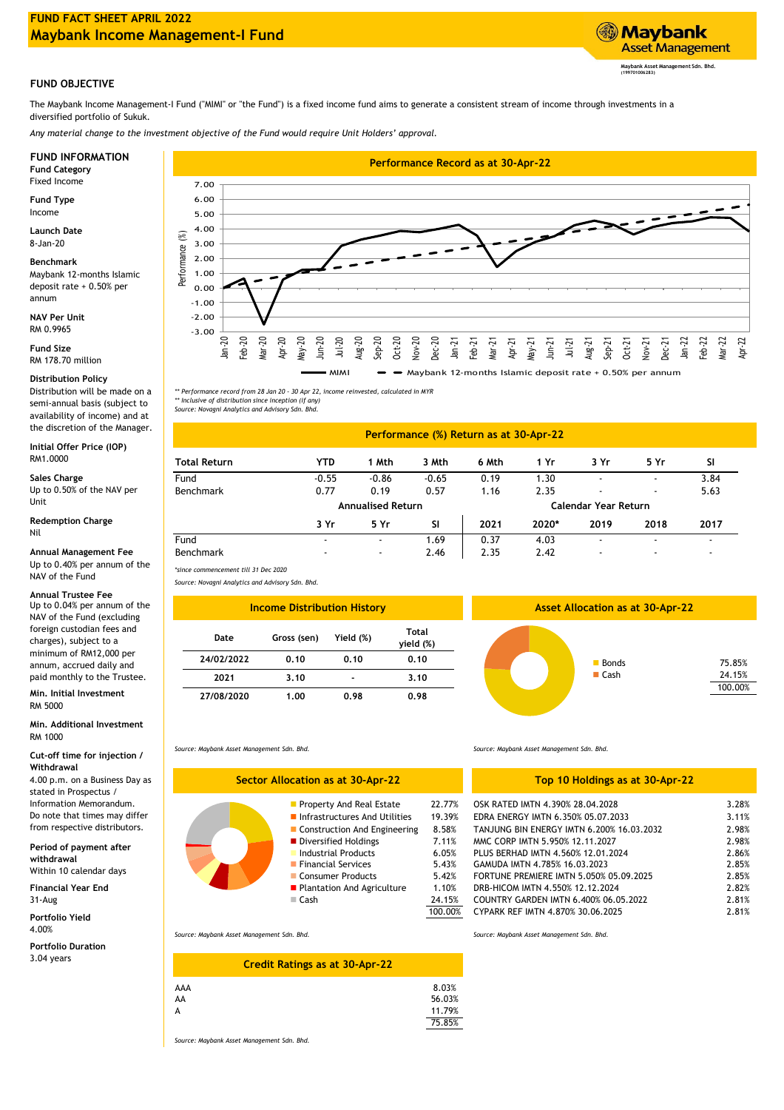

The Maybank Income Management-I Fund ("MIMI" or "the Fund") is a fixed income fund aims to generate a consistent stream of income through investments in a diversified portfolio of Sukuk.

*Any material change to the investment objective of the Fund would require Unit Holders' approval.*

Fixed Income

**Fund Type** Income

**Launch Date** 8-Jan-20

**Benchmark**

Maybank 12-months Islamic deposit rate + 0.50% per annum

RM 0.9965 **NAV Per Unit**

**Fund Size** RM 178.70 million

# **Distribution Policy**

Distribution will be made on a semi-annual basis (subject to availability of income) and at

**Initial Offer Price (IOP)** RM1.0000

### **Sales Charge**

# Up to 0.40% per annum of the NAV of the Fund **Annual Management Fee**

**Annual Trustee Fee**

Up to 0.04% per annum of the NAV of the Fund (excluding foreign custodian fees and charges), subject to a minimum of RM12,000 per annum, accrued daily and paid monthly to the Trustee.

**Min. Initial Investment** RM 5000

# **Min. Additional Investment** RM 1000

### **Cut-off time for injection / Withdrawal**

4.00 p.m. on a Business Day as stated in Prospectus / Information Memorandum. Do note that times may differ from respective distributors.

### **Period of payment after withdrawal** Within 10 calendar days

31-Aug **Financial Year End**

4.00% **Portfolio Yield**

**Portfolio Duration** 3.04 years



*\*\* Performance record from 28 Jan 20 - 30 Apr 22, income reinvested, calculated in MYR \*\* Inclusive of distribution since inception (if any) Source: Novagni Analytics and Advisory Sdn. Bhd.*

# the discretion of the Manager. **Performance (%) Return as at 30-Apr-22**

| וווונומו טווכו רוונכ (וטר)<br>RM1.0000                   | <b>Total Return</b> | YTD                      | Mth                      | 3 Mth   | 6 Mth | 1 Yr                 | 3 Yr                     | 5 Yr                     | SI   |  |
|----------------------------------------------------------|---------------------|--------------------------|--------------------------|---------|-------|----------------------|--------------------------|--------------------------|------|--|
| Sales Charge                                             | Fund                | $-0.55$                  | $-0.86$                  | $-0.65$ | 0.19  | 1.30                 | $\overline{\phantom{a}}$ | $\overline{\phantom{a}}$ | 3.84 |  |
| Up to 0.50% of the NAV per                               | Benchmark           | 0.77                     | 0.19                     | 0.57    | 1.16  | 2.35                 | ۰                        |                          | 5.63 |  |
| Unit                                                     |                     | <b>Annualised Return</b> |                          |         |       | Calendar Year Return |                          |                          |      |  |
| <b>Redemption Charge</b>                                 |                     | 3 Yr                     | 5 Yr                     | SI      | 2021  | 2020*                | 2019                     | 2018                     | 2017 |  |
| Nil                                                      | Fund                |                          |                          | .69     | 0.37  | 4.03                 | ۰                        |                          |      |  |
| Annual Management Fee<br>Un to $0.40\%$ per annum of the | Benchmark           | $\overline{\phantom{a}}$ | $\overline{\phantom{a}}$ | 2.46    | 2.35  | 2.42                 | ۰                        |                          |      |  |

*\*since commencement till 31 Dec 2020*

*Source: Novagni Analytics and Advisory Sdn. Bhd.*

| e | <b>Income Distribution History</b> |             |           |                    |  | <b>Asset Allocation as at 30-Apr-22</b> |                     |  |  |
|---|------------------------------------|-------------|-----------|--------------------|--|-----------------------------------------|---------------------|--|--|
|   | Date                               | Gross (sen) | Yield (%) | Total<br>vield (%) |  |                                         |                     |  |  |
|   | 24/02/2022                         | 0.10        | 0.10      | 0.10               |  |                                         | <b>Bonds</b>        |  |  |
|   | 2021                               | 3.10        |           | 3.10               |  |                                         | $\blacksquare$ Cash |  |  |
|   | 27/08/2020                         | 1.00        | 0.98      | 0.98               |  |                                         |                     |  |  |

*Source: Maybank Asset Management Sdn. Bhd.*

| Sector Allocation as at 30-Apr-22 |        |
|-----------------------------------|--------|
| Property And Real Estate          | 22.779 |
| Infrastructures And Utilities     | 19.39% |
| ■ Construction And Engineering    | 8.58%  |
| Diversified Holdings              | 7.11%  |
| <b>Industrial Products</b>        | 6.05%  |
| Financial Services                | 5.43%  |
|                                   |        |

- Consumer Products 5.42%<br>Plantation And Agriculture 1.10%
- **Plantation And Agriculture**

*Source: Maybank Asset Management Sdn. Bhd. Source: Maybank Asset Management Sdn. Bhd.*

AA 75.85% 11.79% **Credit Ratings as at 30-Apr-22**  $\mathsf{AAA}$  8.03% A 56.03%

*Source: Maybank Asset Management Sdn. Bhd.*

# **Top 10 Holdings as at 30-Apr-22**

100.00%

24.15%

75.85%

| Property And Real Estate      | 22.77%  | OSK RATED IMTN 4.390% 28.04.2028          | 3.28% |
|-------------------------------|---------|-------------------------------------------|-------|
| Infrastructures And Utilities | 19.39%  | EDRA ENERGY IMTN 6.350% 05.07.2033        | 3.11% |
| Construction And Engineering  | 8.58%   | TANJUNG BIN ENERGY IMTN 6.200% 16.03.2032 | 2.98% |
| Diversified Holdings          | 7.11%   | MMC CORP IMTN 5.950% 12.11.2027           | 2.98% |
| Industrial Products           | 6.05%   | PLUS BERHAD IMTN 4.560% 12.01.2024        | 2.86% |
| ■ Financial Services          | 5.43%   | GAMUDA IMTN 4.785% 16.03.2023             | 2.85% |
| ■ Consumer Products           | 5.42%   | FORTUNE PREMIERE IMTN 5.050% 05.09.2025   | 2.85% |
| Plantation And Agriculture    | 1.10%   | DRB-HICOM IMTN 4.550% 12.12.2024          | 2.82% |
| $\blacksquare$ Cash           | 24.15%  | COUNTRY GARDEN IMTN 6.400% 06.05.2022     | 2.81% |
|                               | 100.00% | CYPARK REF IMTN 4.870% 30.06.2025         | 2.81% |
|                               |         |                                           |       |

#### *Source: Maybank Asset Management Sdn. Bhd.*



**Asset Management** 

**Maybank**